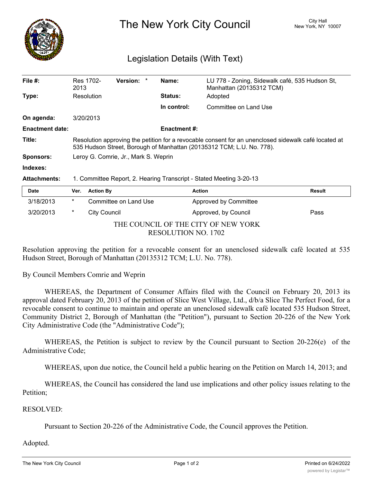

The New York City Council New York, NY 10007

## Legislation Details (With Text)

| File $#$ :             | Res 1702-<br>2013                                                                                                                                                             | Version: | Name:               | LU 778 - Zoning, Sidewalk café, 535 Hudson St,<br>Manhattan (20135312 TCM) |  |  |  |
|------------------------|-------------------------------------------------------------------------------------------------------------------------------------------------------------------------------|----------|---------------------|----------------------------------------------------------------------------|--|--|--|
| Type:                  | Resolution                                                                                                                                                                    |          | <b>Status:</b>      | Adopted                                                                    |  |  |  |
|                        |                                                                                                                                                                               |          | In control:         | Committee on Land Use                                                      |  |  |  |
| On agenda:             | 3/20/2013                                                                                                                                                                     |          |                     |                                                                            |  |  |  |
| <b>Enactment date:</b> |                                                                                                                                                                               |          | <b>Enactment #:</b> |                                                                            |  |  |  |
| Title:                 | Resolution approving the petition for a revocable consent for an unenclosed sidewalk café located at<br>535 Hudson Street, Borough of Manhattan (20135312 TCM; L.U. No. 778). |          |                     |                                                                            |  |  |  |
| <b>Sponsors:</b>       | Leroy G. Comrie, Jr., Mark S. Weprin                                                                                                                                          |          |                     |                                                                            |  |  |  |
| Indexes:               |                                                                                                                                                                               |          |                     |                                                                            |  |  |  |
| <b>Attachments:</b>    | 1. Committee Report, 2. Hearing Transcript - Stated Meeting 3-20-13                                                                                                           |          |                     |                                                                            |  |  |  |
| <b>Date</b>            | <b>Action By</b><br>Ver.                                                                                                                                                      |          |                     | <b>Action</b><br><b>Result</b>                                             |  |  |  |

| Pute                                |              | $\mathbf{v}$ . Avuvu $\mathbf{v}$ | Avuvu                 | 115341L |  |  |
|-------------------------------------|--------------|-----------------------------------|-----------------------|---------|--|--|
| 3/18/2013                           | *            | Committee on Land Use             | Approved by Committee |         |  |  |
| 3/20/2013                           | City Council |                                   | Approved, by Council  | Pass    |  |  |
| THE COUNCIL OF THE CITY OF NEW YORK |              |                                   |                       |         |  |  |
| RESOLUTION NO. 1702                 |              |                                   |                       |         |  |  |

Resolution approving the petition for a revocable consent for an unenclosed sidewalk café located at 535 Hudson Street, Borough of Manhattan (20135312 TCM; L.U. No. 778).

By Council Members Comrie and Weprin

WHEREAS, the Department of Consumer Affairs filed with the Council on February 20, 2013 its approval dated February 20, 2013 of the petition of Slice West Village, Ltd., d/b/a Slice The Perfect Food, for a revocable consent to continue to maintain and operate an unenclosed sidewalk café located 535 Hudson Street, Community District 2, Borough of Manhattan (the "Petition"), pursuant to Section 20-226 of the New York City Administrative Code (the "Administrative Code");

WHEREAS, the Petition is subject to review by the Council pursuant to Section 20-226(e) of the Administrative Code;

WHEREAS, upon due notice, the Council held a public hearing on the Petition on March 14, 2013; and

WHEREAS, the Council has considered the land use implications and other policy issues relating to the Petition;

## RESOLVED:

Pursuant to Section 20-226 of the Administrative Code, the Council approves the Petition.

## Adopted.